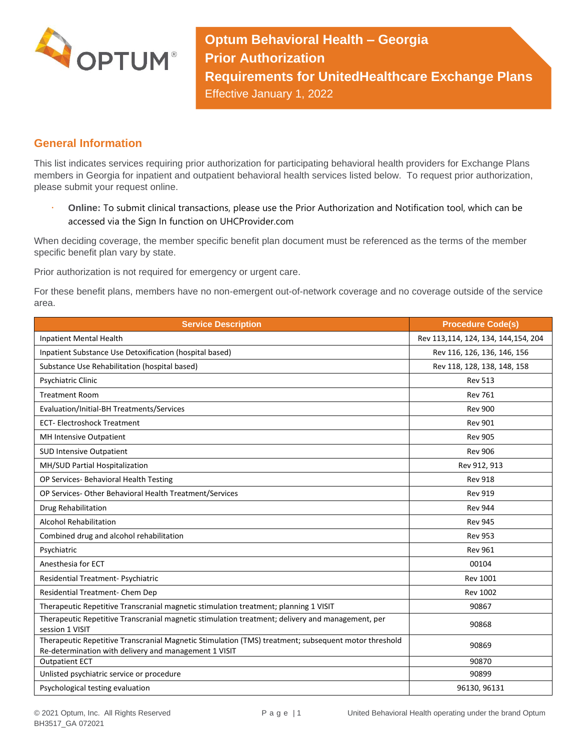

**Optum Behavioral Health – Georgia Prior Authorization Requirements for UnitedHealthcare Exchange Plans** Effective January 1, 2022

## **General Information**

This list indicates services requiring prior authorization for participating behavioral health providers for Exchange Plans members in Georgia for inpatient and outpatient behavioral health services listed below. To request prior authorization, please submit your request online.

 **Online:** To submit clinical transactions, please use the Prior Authorization and Notification tool, which can be accessed via the Sign In function on UHCProvider.com

When deciding coverage, the member specific benefit plan document must be referenced as the terms of the member specific benefit plan vary by state.

Prior authorization is not required for emergency or urgent care.

For these benefit plans, members have no non-emergent out-of-network coverage and no coverage outside of the service area.

| <b>Service Description</b>                                                                                                                                    | <b>Procedure Code(s)</b>            |
|---------------------------------------------------------------------------------------------------------------------------------------------------------------|-------------------------------------|
| <b>Inpatient Mental Health</b>                                                                                                                                | Rev 113,114, 124, 134, 144,154, 204 |
| Inpatient Substance Use Detoxification (hospital based)                                                                                                       | Rev 116, 126, 136, 146, 156         |
| Substance Use Rehabilitation (hospital based)                                                                                                                 | Rev 118, 128, 138, 148, 158         |
| Psychiatric Clinic                                                                                                                                            | <b>Rev 513</b>                      |
| <b>Treatment Room</b>                                                                                                                                         | <b>Rev 761</b>                      |
| Evaluation/Initial-BH Treatments/Services                                                                                                                     | <b>Rev 900</b>                      |
| <b>ECT-Electroshock Treatment</b>                                                                                                                             | <b>Rev 901</b>                      |
| MH Intensive Outpatient                                                                                                                                       | <b>Rev 905</b>                      |
| <b>SUD Intensive Outpatient</b>                                                                                                                               | <b>Rev 906</b>                      |
| MH/SUD Partial Hospitalization                                                                                                                                | Rev 912, 913                        |
| OP Services- Behavioral Health Testing                                                                                                                        | <b>Rev 918</b>                      |
| OP Services-Other Behavioral Health Treatment/Services                                                                                                        | <b>Rev 919</b>                      |
| Drug Rehabilitation                                                                                                                                           | <b>Rev 944</b>                      |
| <b>Alcohol Rehabilitation</b>                                                                                                                                 | <b>Rev 945</b>                      |
| Combined drug and alcohol rehabilitation                                                                                                                      | <b>Rev 953</b>                      |
| Psychiatric                                                                                                                                                   | <b>Rev 961</b>                      |
| Anesthesia for ECT                                                                                                                                            | 00104                               |
| Residential Treatment- Psychiatric                                                                                                                            | <b>Rev 1001</b>                     |
| Residential Treatment- Chem Dep                                                                                                                               | <b>Rev 1002</b>                     |
| Therapeutic Repetitive Transcranial magnetic stimulation treatment; planning 1 VISIT                                                                          | 90867                               |
| Therapeutic Repetitive Transcranial magnetic stimulation treatment; delivery and management, per<br>session 1 VISIT                                           | 90868                               |
| Therapeutic Repetitive Transcranial Magnetic Stimulation (TMS) treatment; subsequent motor threshold<br>Re-determination with delivery and management 1 VISIT | 90869                               |
| <b>Outpatient ECT</b>                                                                                                                                         | 90870                               |
| Unlisted psychiatric service or procedure                                                                                                                     | 90899                               |
| Psychological testing evaluation                                                                                                                              | 96130, 96131                        |